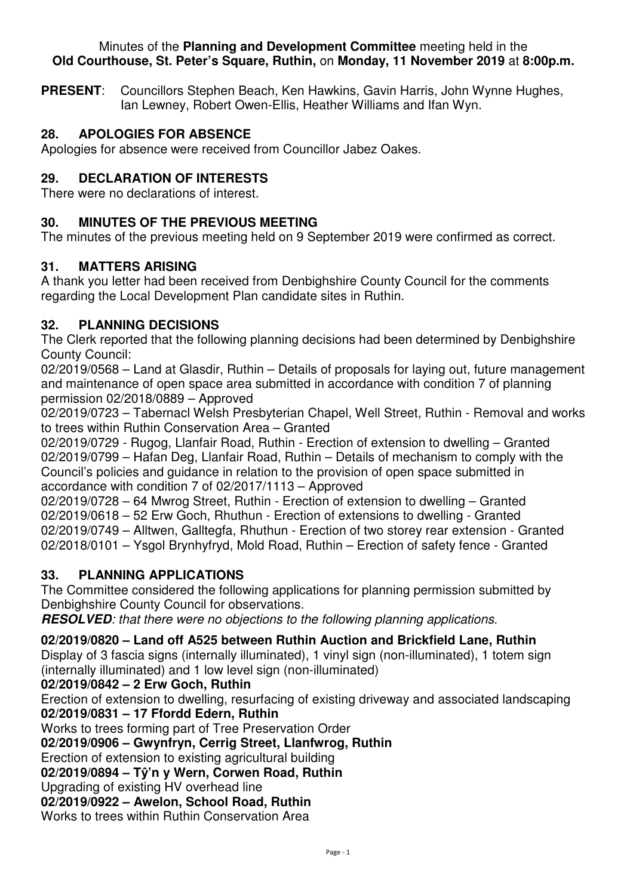#### Minutes of the **Planning and Development Committee** meeting held in the **Old Courthouse, St. Peter's Square, Ruthin,** on **Monday, 11 November 2019** at **8:00p.m.**

**PRESENT**: Councillors Stephen Beach, Ken Hawkins, Gavin Harris, John Wynne Hughes, Ian Lewney, Robert Owen-Ellis, Heather Williams and Ifan Wyn.

# **28. APOLOGIES FOR ABSENCE**

Apologies for absence were received from Councillor Jabez Oakes.

# **29. DECLARATION OF INTERESTS**

There were no declarations of interest.

# **30. MINUTES OF THE PREVIOUS MEETING**

The minutes of the previous meeting held on 9 September 2019 were confirmed as correct.

### **31. MATTERS ARISING**

A thank you letter had been received from Denbighshire County Council for the comments regarding the Local Development Plan candidate sites in Ruthin.

### **32. PLANNING DECISIONS**

The Clerk reported that the following planning decisions had been determined by Denbighshire County Council:

02/2019/0568 – Land at Glasdir, Ruthin – Details of proposals for laying out, future management and maintenance of open space area submitted in accordance with condition 7 of planning permission 02/2018/0889 – Approved

02/2019/0723 – Tabernacl Welsh Presbyterian Chapel, Well Street, Ruthin - Removal and works to trees within Ruthin Conservation Area – Granted

02/2019/0729 - Rugog, Llanfair Road, Ruthin - Erection of extension to dwelling – Granted 02/2019/0799 – Hafan Deg, Llanfair Road, Ruthin – Details of mechanism to comply with the Council's policies and guidance in relation to the provision of open space submitted in accordance with condition 7 of 02/2017/1113 – Approved

02/2019/0728 – 64 Mwrog Street, Ruthin - Erection of extension to dwelling – Granted 02/2019/0618 – 52 Erw Goch, Rhuthun - Erection of extensions to dwelling - Granted 02/2019/0749 – Alltwen, Galltegfa, Rhuthun - Erection of two storey rear extension - Granted 02/2018/0101 – Ysgol Brynhyfryd, Mold Road, Ruthin – Erection of safety fence - Granted

# **33. PLANNING APPLICATIONS**

The Committee considered the following applications for planning permission submitted by Denbighshire County Council for observations.

**RESOLVED***: that there were no objections to the following planning applications.* 

### **02/2019/0820 – Land off A525 between Ruthin Auction and Brickfield Lane, Ruthin**

Display of 3 fascia signs (internally illuminated), 1 vinyl sign (non-illuminated), 1 totem sign (internally illuminated) and 1 low level sign (non-illuminated)

### **02/2019/0842 – 2 Erw Goch, Ruthin**

Erection of extension to dwelling, resurfacing of existing driveway and associated landscaping **02/2019/0831 – 17 Ffordd Edern, Ruthin** 

Works to trees forming part of Tree Preservation Order

**02/2019/0906 – Gwynfryn, Cerrig Street, Llanfwrog, Ruthin**

Erection of extension to existing agricultural building

**02/2019/0894 – Tŷ'n y Wern, Corwen Road, Ruthin** 

Upgrading of existing HV overhead line

**02/2019/0922 – Awelon, School Road, Ruthin** 

Works to trees within Ruthin Conservation Area